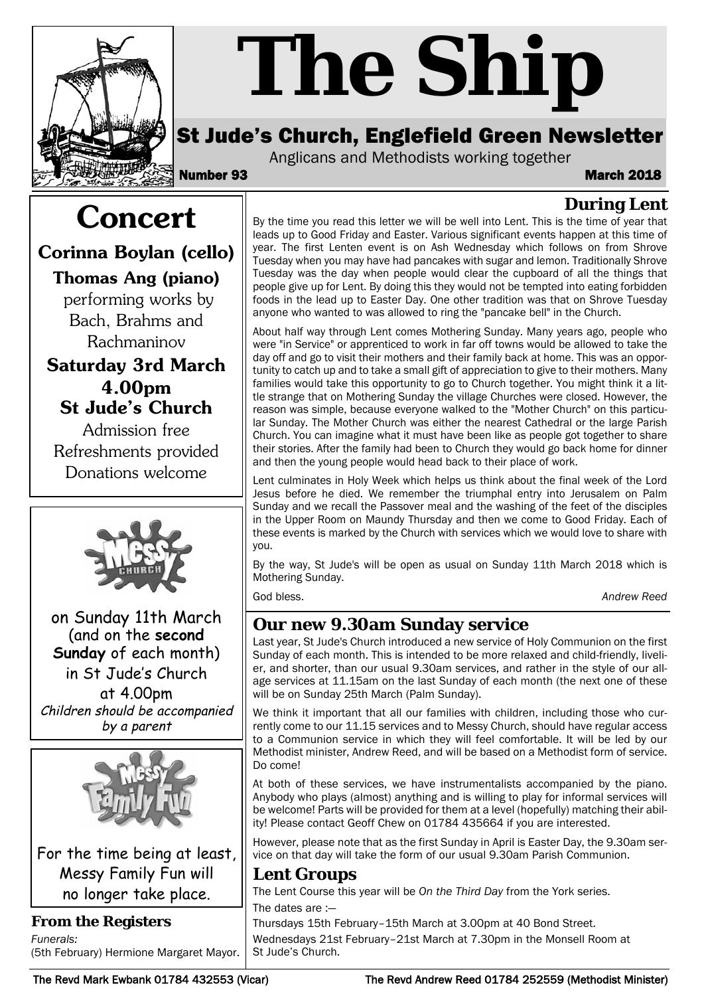

# *The Ship*

# St Jude's Church, Englefield Green Newsletter

Anglicans and Methodists working together

Number 93 March 2018

**During Lent**

# **Concert**

**Corinna Boylan (cello)**

# **Thomas Ang (piano)**

performing works by Bach, Brahms and Rachmaninov

# **Saturday 3rd March 4.00pm St Jude's Church**

Admission free Refreshments provided Donations welcome



on Sunday 11th March (and on the **second Sunday** of each month) in St Jude's Church at 4.00pm Children should be accompanied by a parent



For the time being at least, Messy Family Fun will no longer take place.

#### **From the Registers**

*Funerals:*  (5th February) Hermione Margaret Mayor.

By the time you read this letter we will be well into Lent. This is the time of year that leads up to Good Friday and Easter. Various significant events happen at this time of year. The first Lenten event is on Ash Wednesday which follows on from Shrove Tuesday when you may have had pancakes with sugar and lemon. Traditionally Shrove Tuesday was the day when people would clear the cupboard of all the things that people give up for Lent. By doing this they would not be tempted into eating forbidden foods in the lead up to Easter Day. One other tradition was that on Shrove Tuesday anyone who wanted to was allowed to ring the "pancake bell" in the Church.

About half way through Lent comes Mothering Sunday. Many years ago, people who were "in Service" or apprenticed to work in far off towns would be allowed to take the day off and go to visit their mothers and their family back at home. This was an opportunity to catch up and to take a small gift of appreciation to give to their mothers. Many families would take this opportunity to go to Church together. You might think it a little strange that on Mothering Sunday the village Churches were closed. However, the reason was simple, because everyone walked to the "Mother Church" on this particular Sunday. The Mother Church was either the nearest Cathedral or the large Parish Church. You can imagine what it must have been like as people got together to share their stories. After the family had been to Church they would go back home for dinner and then the young people would head back to their place of work.

Lent culminates in Holy Week which helps us think about the final week of the Lord Jesus before he died. We remember the triumphal entry into Jerusalem on Palm Sunday and we recall the Passover meal and the washing of the feet of the disciples in the Upper Room on Maundy Thursday and then we come to Good Friday. Each of these events is marked by the Church with services which we would love to share with you.

By the way, St Jude's will be open as usual on Sunday 11th March 2018 which is Mothering Sunday.

God bless. *Andrew Reed*

## **Our new 9.30am Sunday service**

Last year, St Jude's Church introduced a new service of Holy Communion on the first Sunday of each month. This is intended to be more relaxed and child-friendly, livelier, and shorter, than our usual 9.30am services, and rather in the style of our allage services at 11.15am on the last Sunday of each month (the next one of these will be on Sunday 25th March (Palm Sunday).

We think it important that all our families with children, including those who currently come to our 11.15 services and to Messy Church, should have regular access to a Communion service in which they will feel comfortable. It will be led by our Methodist minister, Andrew Reed, and will be based on a Methodist form of service. Do come!

At both of these services, we have instrumentalists accompanied by the piano. Anybody who plays (almost) anything and is willing to play for informal services will be welcome! Parts will be provided for them at a level (hopefully) matching their ability! Please contact Geoff Chew on 01784 435664 if you are interested.

However, please note that as the first Sunday in April is Easter Day, the 9.30am service on that day will take the form of our usual 9.30am Parish Communion.

#### **Lent Groups**

The Lent Course this year will be *On the Third Day* from the York series.

The dates are :—

Thursdays 15th February–15th March at 3.00pm at 40 Bond Street. Wednesdays 21st February–21st March at 7.30pm in the Monsell Room at St Jude's Church.